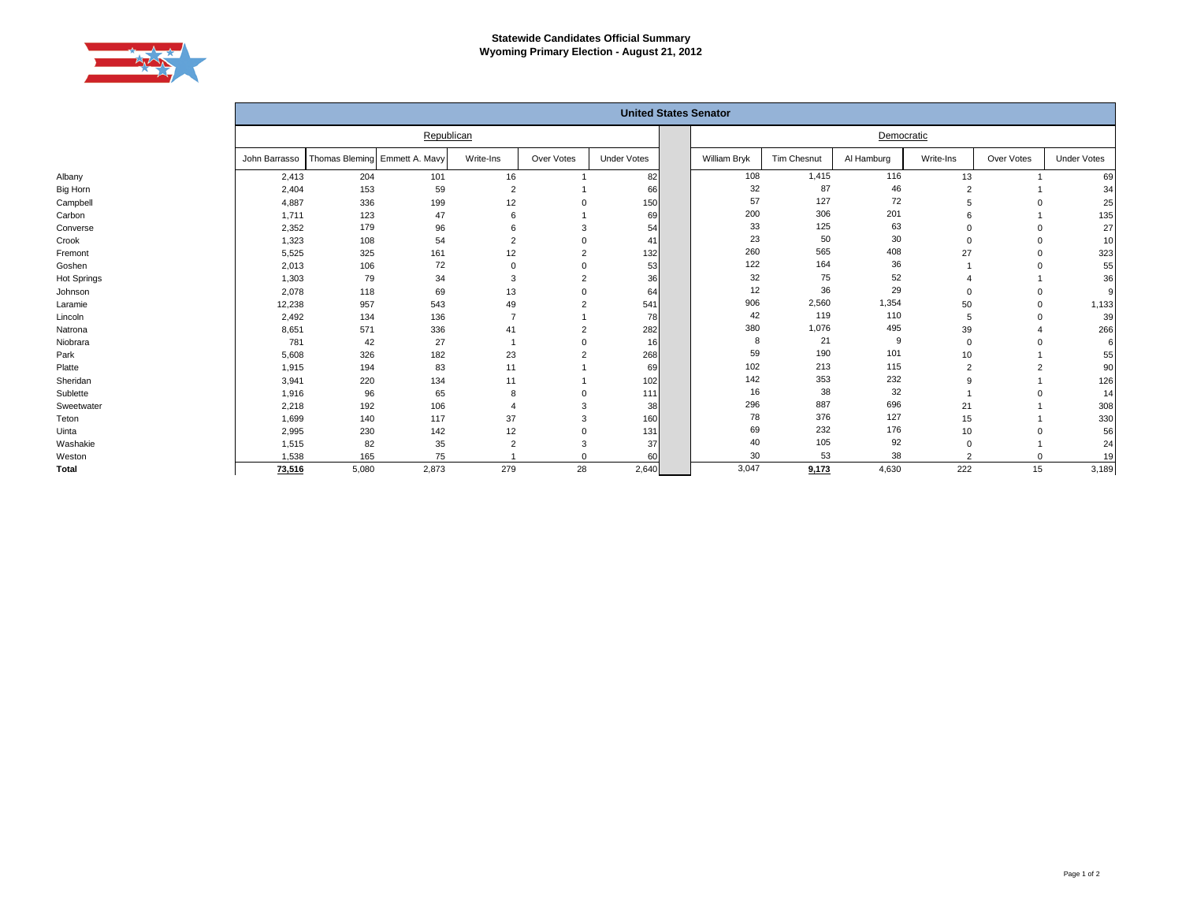

|             | <b>United States Senator</b> |                               |       |                |            |                    |  |              |             |            |                |            |                    |
|-------------|------------------------------|-------------------------------|-------|----------------|------------|--------------------|--|--------------|-------------|------------|----------------|------------|--------------------|
|             | Republican                   |                               |       |                |            |                    |  |              |             |            |                |            |                    |
|             | John Barrasso                | Thomas Bleming Emmett A. Mavy |       | Write-Ins      | Over Votes | <b>Under Votes</b> |  | William Bryk | Tim Chesnut | Al Hamburg | Write-Ins      | Over Votes | <b>Under Votes</b> |
| Albany      | 2,413                        | 204                           | 101   | 16             |            | 82                 |  | 108          | 1,415       | 116        | 13             |            | 69                 |
| Big Horn    | 2,404                        | 153                           | 59    | $\overline{2}$ |            | 66                 |  | 32           | 87          | 46         | $\overline{2}$ |            | 34                 |
| Campbell    | 4,887                        | 336                           | 199   | 12             |            | 150                |  | 57           | 127         | 72         |                |            | 25                 |
| Carbon      | 1,711                        | 123                           | 47    |                |            | 69                 |  | 200          | 306         | 201        |                |            | 135                |
| Converse    | 2,352                        | 179                           | 96    |                |            | 54                 |  | 33           | 125         | 63         |                |            | 27                 |
| Crook       | 1,323                        | 108                           | 54    |                |            | 41                 |  | 23           | 50          | 30         |                |            | 10                 |
| Fremont     | 5,525                        | 325                           | 161   | 12             |            | 132                |  | 260          | 565         | 408        | 27             |            | 323                |
| Goshen      | 2,013                        | 106                           | 72    |                |            | 53                 |  | 122          | 164         | 36         |                |            | 55                 |
| Hot Springs | 1,303                        | 79                            | 34    | 3              |            | 36                 |  | 32           | 75          | 52         |                |            | 36                 |
| Johnson     | 2,078                        | 118                           | 69    | 13             |            | 64                 |  | 12           | 36          | 29         |                |            |                    |
| Laramie     | 12,238                       | 957                           | 543   | 49             |            | 541                |  | 906          | 2,560       | 1,354      | 50             |            | 1,133              |
| Lincoln     | 2,492                        | 134                           | 136   |                |            | 78                 |  | 42           | 119         | 110        | 5              |            | 39                 |
| Natrona     | 8,651                        | 571                           | 336   | 41             |            | 282                |  | 380          | 1,076       | 495        | 39             |            | 266                |
| Niobrara    | 781                          | 42                            | 27    |                |            | 16                 |  | 8            | 21          | 9          | $\Omega$       |            |                    |
| Park        | 5,608                        | 326                           | 182   | 23             |            | 268                |  | 59           | 190         | 101        | 10             |            | 55                 |
| Platte      | 1,915                        | 194                           | 83    | 11             |            | 69                 |  | 102          | 213         | 115        |                |            | 90                 |
| Sheridan    | 3,941                        | 220                           | 134   | 11             |            | 102                |  | 142          | 353         | 232        |                |            | 126                |
| Sublette    | 1,916                        | 96                            | 65    |                |            | 111                |  | 16           | 38          | 32         |                |            | 14                 |
| Sweetwater  | 2,218                        | 192                           | 106   |                |            | 38                 |  | 296          | 887         | 696        | 21             |            | 308                |
| Teton       | 1,699                        | 140                           | 117   | 37             |            | 160                |  | 78           | 376         | 127        | 15             |            | 330                |
| Uinta       | 2,995                        | 230                           | 142   | 12             |            | 131                |  | 69           | 232         | 176        | 10             |            | 56                 |
| Washakie    | 1,515                        | 82                            | 35    | $\overline{2}$ | 3          | 37                 |  | 40           | 105         | 92         | $\Omega$       |            | 24                 |
| Weston      | 1,538                        | 165                           | 75    |                |            | 60                 |  | 30           | 53          | 38         | $\Omega$       |            | 19                 |
| Total       | 73,516                       | 5,080                         | 2,873 | 279            | 28         | 2,640              |  | 3,047        | 9,173       | 4,630      | 222            | 15         | 3,189              |